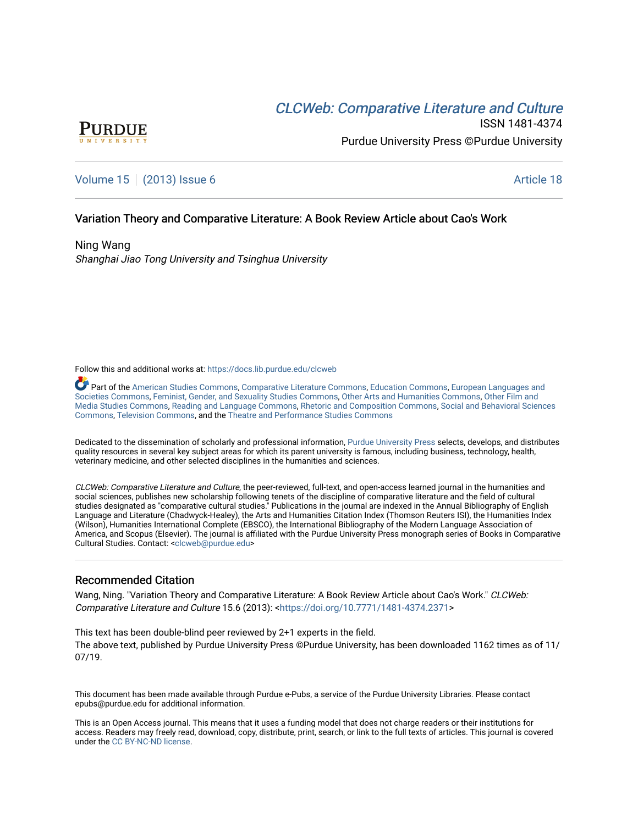## CLCW[eb: Comparative Liter](https://docs.lib.purdue.edu/clcweb)ature and Culture



ISSN 1481-4374 Purdue University Press ©Purdue University

## [Volume 15](https://docs.lib.purdue.edu/clcweb/vol15) | [\(2013\) Issue 6](https://docs.lib.purdue.edu/clcweb/vol15/iss6) Article 18

## Variation Theory and Comparative Literature: A Book Review Article about Cao's Work

Ning Wang

Shanghai Jiao Tong University and Tsinghua University

Follow this and additional works at: [https://docs.lib.purdue.edu/clcweb](https://docs.lib.purdue.edu/clcweb?utm_source=docs.lib.purdue.edu%2Fclcweb%2Fvol15%2Fiss6%2F18&utm_medium=PDF&utm_campaign=PDFCoverPages)

Part of the [American Studies Commons](http://network.bepress.com/hgg/discipline/439?utm_source=docs.lib.purdue.edu%2Fclcweb%2Fvol15%2Fiss6%2F18&utm_medium=PDF&utm_campaign=PDFCoverPages), [Comparative Literature Commons,](http://network.bepress.com/hgg/discipline/454?utm_source=docs.lib.purdue.edu%2Fclcweb%2Fvol15%2Fiss6%2F18&utm_medium=PDF&utm_campaign=PDFCoverPages) [Education Commons,](http://network.bepress.com/hgg/discipline/784?utm_source=docs.lib.purdue.edu%2Fclcweb%2Fvol15%2Fiss6%2F18&utm_medium=PDF&utm_campaign=PDFCoverPages) [European Languages and](http://network.bepress.com/hgg/discipline/482?utm_source=docs.lib.purdue.edu%2Fclcweb%2Fvol15%2Fiss6%2F18&utm_medium=PDF&utm_campaign=PDFCoverPages) [Societies Commons](http://network.bepress.com/hgg/discipline/482?utm_source=docs.lib.purdue.edu%2Fclcweb%2Fvol15%2Fiss6%2F18&utm_medium=PDF&utm_campaign=PDFCoverPages), [Feminist, Gender, and Sexuality Studies Commons,](http://network.bepress.com/hgg/discipline/559?utm_source=docs.lib.purdue.edu%2Fclcweb%2Fvol15%2Fiss6%2F18&utm_medium=PDF&utm_campaign=PDFCoverPages) [Other Arts and Humanities Commons](http://network.bepress.com/hgg/discipline/577?utm_source=docs.lib.purdue.edu%2Fclcweb%2Fvol15%2Fiss6%2F18&utm_medium=PDF&utm_campaign=PDFCoverPages), [Other Film and](http://network.bepress.com/hgg/discipline/565?utm_source=docs.lib.purdue.edu%2Fclcweb%2Fvol15%2Fiss6%2F18&utm_medium=PDF&utm_campaign=PDFCoverPages)  [Media Studies Commons](http://network.bepress.com/hgg/discipline/565?utm_source=docs.lib.purdue.edu%2Fclcweb%2Fvol15%2Fiss6%2F18&utm_medium=PDF&utm_campaign=PDFCoverPages), [Reading and Language Commons](http://network.bepress.com/hgg/discipline/1037?utm_source=docs.lib.purdue.edu%2Fclcweb%2Fvol15%2Fiss6%2F18&utm_medium=PDF&utm_campaign=PDFCoverPages), [Rhetoric and Composition Commons,](http://network.bepress.com/hgg/discipline/573?utm_source=docs.lib.purdue.edu%2Fclcweb%2Fvol15%2Fiss6%2F18&utm_medium=PDF&utm_campaign=PDFCoverPages) [Social and Behavioral Sciences](http://network.bepress.com/hgg/discipline/316?utm_source=docs.lib.purdue.edu%2Fclcweb%2Fvol15%2Fiss6%2F18&utm_medium=PDF&utm_campaign=PDFCoverPages) [Commons,](http://network.bepress.com/hgg/discipline/316?utm_source=docs.lib.purdue.edu%2Fclcweb%2Fvol15%2Fiss6%2F18&utm_medium=PDF&utm_campaign=PDFCoverPages) [Television Commons,](http://network.bepress.com/hgg/discipline/1143?utm_source=docs.lib.purdue.edu%2Fclcweb%2Fvol15%2Fiss6%2F18&utm_medium=PDF&utm_campaign=PDFCoverPages) and the [Theatre and Performance Studies Commons](http://network.bepress.com/hgg/discipline/552?utm_source=docs.lib.purdue.edu%2Fclcweb%2Fvol15%2Fiss6%2F18&utm_medium=PDF&utm_campaign=PDFCoverPages)

Dedicated to the dissemination of scholarly and professional information, [Purdue University Press](http://www.thepress.purdue.edu/) selects, develops, and distributes quality resources in several key subject areas for which its parent university is famous, including business, technology, health, veterinary medicine, and other selected disciplines in the humanities and sciences.

CLCWeb: Comparative Literature and Culture, the peer-reviewed, full-text, and open-access learned journal in the humanities and social sciences, publishes new scholarship following tenets of the discipline of comparative literature and the field of cultural studies designated as "comparative cultural studies." Publications in the journal are indexed in the Annual Bibliography of English Language and Literature (Chadwyck-Healey), the Arts and Humanities Citation Index (Thomson Reuters ISI), the Humanities Index (Wilson), Humanities International Complete (EBSCO), the International Bibliography of the Modern Language Association of America, and Scopus (Elsevier). The journal is affiliated with the Purdue University Press monograph series of Books in Comparative Cultural Studies. Contact: [<clcweb@purdue.edu](mailto:clcweb@purdue.edu)>

## Recommended Citation

Wang, Ning. "Variation Theory and Comparative Literature: A Book Review Article about Cao's Work." CLCWeb: Comparative Literature and Culture 15.6 (2013): <<https://doi.org/10.7771/1481-4374.2371>>

This text has been double-blind peer reviewed by 2+1 experts in the field. The above text, published by Purdue University Press ©Purdue University, has been downloaded 1162 times as of 11/ 07/19.

This document has been made available through Purdue e-Pubs, a service of the Purdue University Libraries. Please contact epubs@purdue.edu for additional information.

This is an Open Access journal. This means that it uses a funding model that does not charge readers or their institutions for access. Readers may freely read, download, copy, distribute, print, search, or link to the full texts of articles. This journal is covered under the [CC BY-NC-ND license.](https://creativecommons.org/licenses/by-nc-nd/4.0/)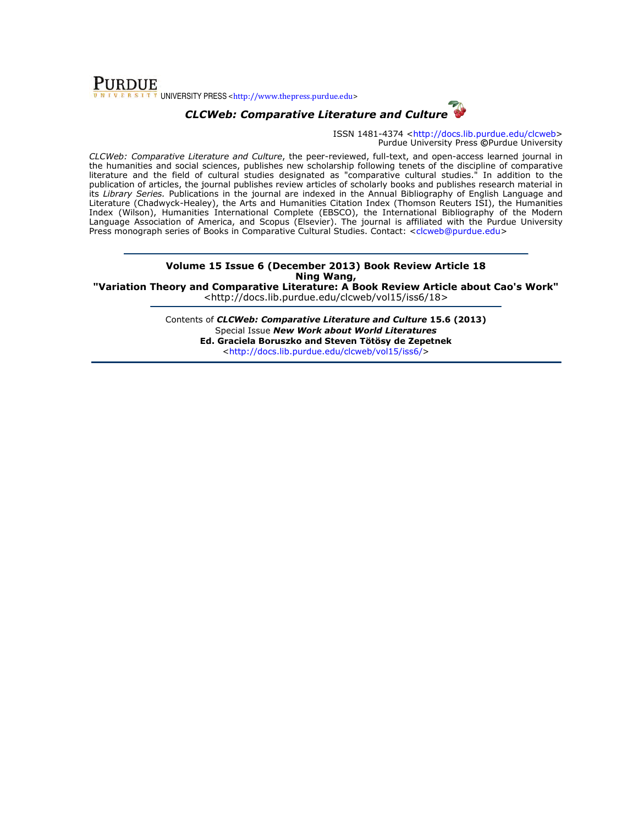## PURDUE UNIVERSITY PRESS <http://www.thepress.purdue.edu>

# CLCWeb: Comparative Literature and Culture

ISSN 1481-4374 <http://docs.lib.purdue.edu/clcweb> Purdue University Press ©Purdue University

CLCWeb: Comparative Literature and Culture, the peer-reviewed, full-text, and open-access learned journal in the humanities and social sciences, publishes new scholarship following tenets of the discipline of comparative literature and the field of cultural studies designated as "comparative cultural studies." In addition to the publication of articles, the journal publishes review articles of scholarly books and publishes research material in its Library Series. Publications in the journal are indexed in the Annual Bibliography of English Language and Literature (Chadwyck-Healey), the Arts and Humanities Citation Index (Thomson Reuters ISI), the Humanities Index (Wilson), Humanities International Complete (EBSCO), the International Bibliography of the Modern Language Association of America, and Scopus (Elsevier). The journal is affiliated with the Purdue University Press monograph series of Books in Comparative Cultural Studies. Contact: <clcweb@purdue.edu>

### Volume 15 Issue 6 (December 2013) Book Review Article 18 Ning Wang,

"Variation Theory and Comparative Literature: A Book Review Article about Cao's Work" <http://docs.lib.purdue.edu/clcweb/vol15/iss6/18>

> Contents of CLCWeb: Comparative Literature and Culture 15.6 (2013) Special Issue New Work about World Literatures Ed. Graciela Boruszko and Steven Tötösy de Zepetnek <http://docs.lib.purdue.edu/clcweb/vol15/iss6/>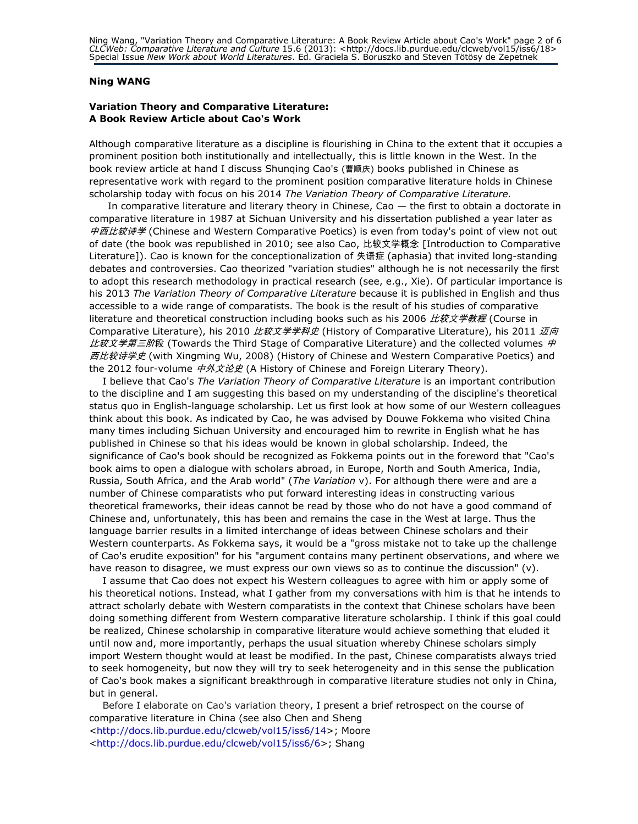### Ning WANG

### Variation Theory and Comparative Literature: A Book Review Article about Cao's Work

Although comparative literature as a discipline is flourishing in China to the extent that it occupies a prominent position both institutionally and intellectually, this is little known in the West. In the book review article at hand I discuss Shunqing Cao's (曹顺庆) books published in Chinese as representative work with regard to the prominent position comparative literature holds in Chinese scholarship today with focus on his 2014 The Variation Theory of Comparative Literature.

In comparative literature and literary theory in Chinese, Cao — the first to obtain a doctorate in comparative literature in 1987 at Sichuan University and his dissertation published a year later as 中西比较诗学 (Chinese and Western Comparative Poetics) is even from today's point of view not out of date (the book was republished in 2010; see also Cao, 比较文学概念 [Introduction to Comparative Literature]). Cao is known for the conceptionalization of 失语症 (aphasia) that invited long-standing debates and controversies. Cao theorized "variation studies" although he is not necessarily the first to adopt this research methodology in practical research (see, e.g., Xie). Of particular importance is his 2013 The Variation Theory of Comparative Literature because it is published in English and thus accessible to a wide range of comparatists. The book is the result of his studies of comparative literature and theoretical construction including books such as his 2006 比较文学教程 (Course in Comparative Literature), his 2010 比较文学学科史 (History of Comparative Literature), his 2011 迈向 比较文学第三阶段 (Towards the Third Stage of Comparative Literature) and the collected volumes 中 西比较诗学史 (with Xingming Wu, 2008) (History of Chinese and Western Comparative Poetics) and the 2012 four-volume  $\overrightarrow{P} \overrightarrow{P} \overrightarrow{P} \overrightarrow{P}$  (A History of Chinese and Foreign Literary Theory).

I believe that Cao's The Variation Theory of Comparative Literature is an important contribution to the discipline and I am suggesting this based on my understanding of the discipline's theoretical status quo in English-language scholarship. Let us first look at how some of our Western colleagues think about this book. As indicated by Cao, he was advised by Douwe Fokkema who visited China many times including Sichuan University and encouraged him to rewrite in English what he has published in Chinese so that his ideas would be known in global scholarship. Indeed, the significance of Cao's book should be recognized as Fokkema points out in the foreword that "Cao's book aims to open a dialogue with scholars abroad, in Europe, North and South America, India, Russia, South Africa, and the Arab world" (The Variation v). For although there were and are a number of Chinese comparatists who put forward interesting ideas in constructing various theoretical frameworks, their ideas cannot be read by those who do not have a good command of Chinese and, unfortunately, this has been and remains the case in the West at large. Thus the language barrier results in a limited interchange of ideas between Chinese scholars and their Western counterparts. As Fokkema says, it would be a "gross mistake not to take up the challenge of Cao's erudite exposition" for his "argument contains many pertinent observations, and where we have reason to disagree, we must express our own views so as to continue the discussion" (v).

I assume that Cao does not expect his Western colleagues to agree with him or apply some of his theoretical notions. Instead, what I gather from my conversations with him is that he intends to attract scholarly debate with Western comparatists in the context that Chinese scholars have been doing something different from Western comparative literature scholarship. I think if this goal could be realized, Chinese scholarship in comparative literature would achieve something that eluded it until now and, more importantly, perhaps the usual situation whereby Chinese scholars simply import Western thought would at least be modified. In the past, Chinese comparatists always tried to seek homogeneity, but now they will try to seek heterogeneity and in this sense the publication of Cao's book makes a significant breakthrough in comparative literature studies not only in China, but in general.

Before I elaborate on Cao's variation theory, I present a brief retrospect on the course of comparative literature in China (see also Chen and Sheng <http://docs.lib.purdue.edu/clcweb/vol15/iss6/14>; Moore <http://docs.lib.purdue.edu/clcweb/vol15/iss6/6>; Shang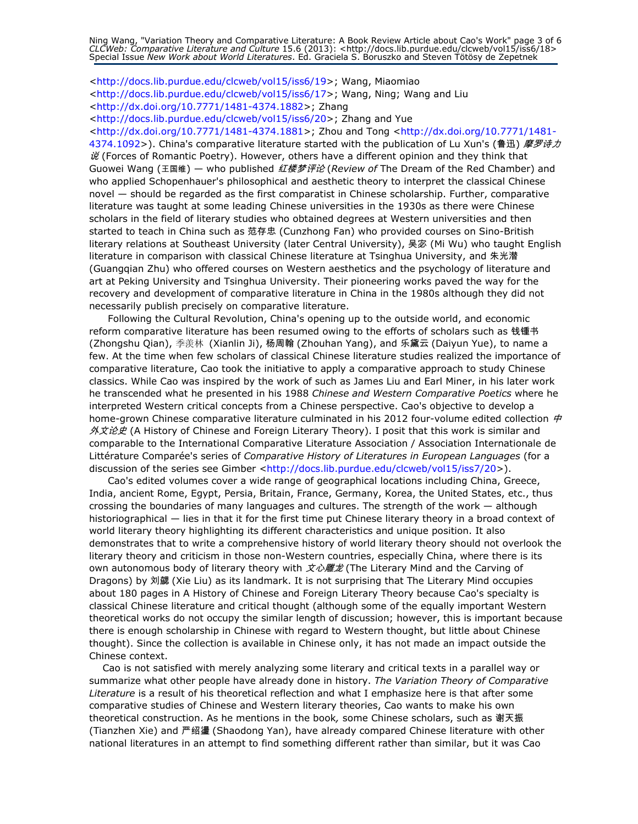<http://docs.lib.purdue.edu/clcweb/vol15/iss6/19>; Wang, Miaomiao <http://docs.lib.purdue.edu/clcweb/vol15/iss6/17>; Wang, Ning; Wang and Liu

<http://dx.doi.org/10.7771/1481-4374.1882>; Zhang

<http://docs.lib.purdue.edu/clcweb/vol15/iss6/20>; Zhang and Yue

<http://dx.doi.org/10.7771/1481-4374.1881>; Zhou and Tong <http://dx.doi.org/10.7771/1481- 4374.1092>). China's comparative literature started with the publication of Lu Xun's (鲁迅) 摩罗诗力  $\ddot{\mathcal{H}}$  (Forces of Romantic Poetry). However, others have a different opinion and they think that Guowei Wang (王国维) — who published 红楼梦评论 (Review of The Dream of the Red Chamber) and who applied Schopenhauer's philosophical and aesthetic theory to interpret the classical Chinese novel — should be regarded as the first comparatist in Chinese scholarship. Further, comparative literature was taught at some leading Chinese universities in the 1930s as there were Chinese scholars in the field of literary studies who obtained degrees at Western universities and then started to teach in China such as 范存忠 (Cunzhong Fan) who provided courses on Sino-British literary relations at Southeast University (later Central University), 吴宓 (Mi Wu) who taught English literature in comparison with classical Chinese literature at Tsinghua University, and 朱光潜 (Guangqian Zhu) who offered courses on Western aesthetics and the psychology of literature and art at Peking University and Tsinghua University. Their pioneering works paved the way for the recovery and development of comparative literature in China in the 1980s although they did not necessarily publish precisely on comparative literature.

Following the Cultural Revolution, China's opening up to the outside world, and economic reform comparative literature has been resumed owing to the efforts of scholars such as 钱锺书 (Zhongshu Qian), 季羡林 (Xianlin Ji), 杨周翰 (Zhouhan Yang), and 乐黛云 (Daiyun Yue), to name a few. At the time when few scholars of classical Chinese literature studies realized the importance of comparative literature, Cao took the initiative to apply a comparative approach to study Chinese classics. While Cao was inspired by the work of such as James Liu and Earl Miner, in his later work he transcended what he presented in his 1988 Chinese and Western Comparative Poetics where he interpreted Western critical concepts from a Chinese perspective. Cao's objective to develop a home-grown Chinese comparative literature culminated in his 2012 four-volume edited collection  $\dot{\varphi}$  $\cancel{\textit{A}}\cancel{\textit{x}}\cancel{\textit{2}}\cancel{\textit{2}}$  (A History of Chinese and Foreign Literary Theory). I posit that this work is similar and comparable to the International Comparative Literature Association / Association Internationale de Littérature Comparée's series of Comparative History of Literatures in European Languages (for a discussion of the series see Gimber <http://docs.lib.purdue.edu/clcweb/vol15/iss7/20>).

Cao's edited volumes cover a wide range of geographical locations including China, Greece, India, ancient Rome, Egypt, Persia, Britain, France, Germany, Korea, the United States, etc., thus crossing the boundaries of many languages and cultures. The strength of the work — although historiographical — lies in that it for the first time put Chinese literary theory in a broad context of world literary theory highlighting its different characteristics and unique position. It also demonstrates that to write a comprehensive history of world literary theory should not overlook the literary theory and criticism in those non-Western countries, especially China, where there is its own autonomous body of literary theory with  $\dot{\mathcal{X}}\dot{\mathcal{L}}\dot{\mathcal{H}}\dot{\mathcal{Z}}$  (The Literary Mind and the Carving of Dragons) by 刘勰 (Xie Liu) as its landmark. It is not surprising that The Literary Mind occupies about 180 pages in A History of Chinese and Foreign Literary Theory because Cao's specialty is classical Chinese literature and critical thought (although some of the equally important Western theoretical works do not occupy the similar length of discussion; however, this is important because there is enough scholarship in Chinese with regard to Western thought, but little about Chinese thought). Since the collection is available in Chinese only, it has not made an impact outside the Chinese context.

Cao is not satisfied with merely analyzing some literary and critical texts in a parallel way or summarize what other people have already done in history. The Variation Theory of Comparative Literature is a result of his theoretical reflection and what I emphasize here is that after some comparative studies of Chinese and Western literary theories, Cao wants to make his own theoretical construction. As he mentions in the book, some Chinese scholars, such as 谢天振 (Tianzhen Xie) and 严绍璗 (Shaodong Yan), have already compared Chinese literature with other national literatures in an attempt to find something different rather than similar, but it was Cao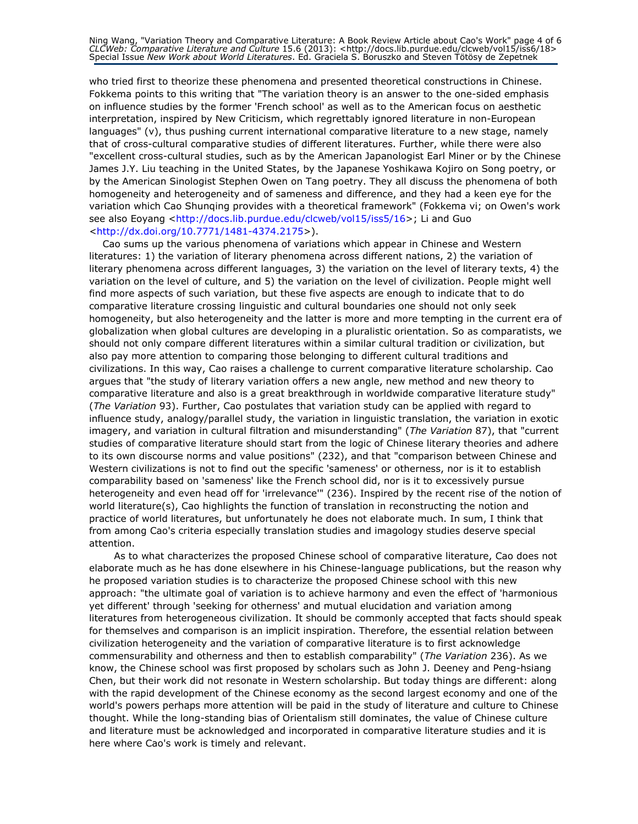who tried first to theorize these phenomena and presented theoretical constructions in Chinese. Fokkema points to this writing that "The variation theory is an answer to the one-sided emphasis on influence studies by the former 'French school' as well as to the American focus on aesthetic interpretation, inspired by New Criticism, which regrettably ignored literature in non-European languages" (v), thus pushing current international comparative literature to a new stage, namely that of cross-cultural comparative studies of different literatures. Further, while there were also "excellent cross-cultural studies, such as by the American Japanologist Earl Miner or by the Chinese James J.Y. Liu teaching in the United States, by the Japanese Yoshikawa Kojiro on Song poetry, or by the American Sinologist Stephen Owen on Tang poetry. They all discuss the phenomena of both homogeneity and heterogeneity and of sameness and difference, and they had a keen eye for the variation which Cao Shunqing provides with a theoretical framework" (Fokkema vi; on Owen's work see also Eoyang <http://docs.lib.purdue.edu/clcweb/vol15/iss5/16>; Li and Guo <http://dx.doi.org/10.7771/1481-4374.2175>).

Cao sums up the various phenomena of variations which appear in Chinese and Western literatures: 1) the variation of literary phenomena across different nations, 2) the variation of literary phenomena across different languages, 3) the variation on the level of literary texts, 4) the variation on the level of culture, and 5) the variation on the level of civilization. People might well find more aspects of such variation, but these five aspects are enough to indicate that to do comparative literature crossing linguistic and cultural boundaries one should not only seek homogeneity, but also heterogeneity and the latter is more and more tempting in the current era of globalization when global cultures are developing in a pluralistic orientation. So as comparatists, we should not only compare different literatures within a similar cultural tradition or civilization, but also pay more attention to comparing those belonging to different cultural traditions and civilizations. In this way, Cao raises a challenge to current comparative literature scholarship. Cao argues that "the study of literary variation offers a new angle, new method and new theory to comparative literature and also is a great breakthrough in worldwide comparative literature study" (The Variation 93). Further, Cao postulates that variation study can be applied with regard to influence study, analogy/parallel study, the variation in linguistic translation, the variation in exotic imagery, and variation in cultural filtration and misunderstanding" (The Variation 87), that "current studies of comparative literature should start from the logic of Chinese literary theories and adhere to its own discourse norms and value positions" (232), and that "comparison between Chinese and Western civilizations is not to find out the specific 'sameness' or otherness, nor is it to establish comparability based on 'sameness' like the French school did, nor is it to excessively pursue heterogeneity and even head off for 'irrelevance'" (236). Inspired by the recent rise of the notion of world literature(s), Cao highlights the function of translation in reconstructing the notion and practice of world literatures, but unfortunately he does not elaborate much. In sum, I think that from among Cao's criteria especially translation studies and imagology studies deserve special attention.

As to what characterizes the proposed Chinese school of comparative literature, Cao does not elaborate much as he has done elsewhere in his Chinese-language publications, but the reason why he proposed variation studies is to characterize the proposed Chinese school with this new approach: "the ultimate goal of variation is to achieve harmony and even the effect of 'harmonious yet different' through 'seeking for otherness' and mutual elucidation and variation among literatures from heterogeneous civilization. It should be commonly accepted that facts should speak for themselves and comparison is an implicit inspiration. Therefore, the essential relation between civilization heterogeneity and the variation of comparative literature is to first acknowledge commensurability and otherness and then to establish comparability" (The Variation 236). As we know, the Chinese school was first proposed by scholars such as John J. Deeney and Peng-hsiang Chen, but their work did not resonate in Western scholarship. But today things are different: along with the rapid development of the Chinese economy as the second largest economy and one of the world's powers perhaps more attention will be paid in the study of literature and culture to Chinese thought. While the long-standing bias of Orientalism still dominates, the value of Chinese culture and literature must be acknowledged and incorporated in comparative literature studies and it is here where Cao's work is timely and relevant.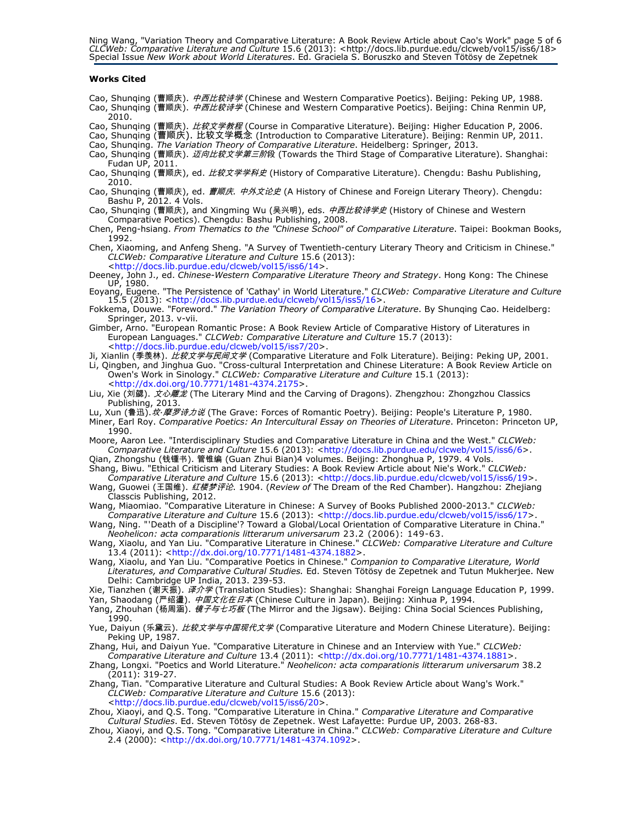Ning Wang, "Variation Theory and Comparative Literature: A Book Review Article about Cao's Work" page 5 of 6 CLCWeb: Comparative Literature and Culture 15.6 (2013): <http://docs.lib.purdue.edu/clcweb/vol15/iss6/18> Special Issue New Work about World Literatures. Ed. Graciela S. Boruszko and Steven Tötösy de Zepetnek

#### Works Cited

Cao, Shunqing (曹顺庆). *中西比较诗学* (Chinese and Western Comparative Poetics). Beijing: Peking UP, 1988. Cao, Shunqing (曹顺庆). 中西比较诗学 (Chinese and Western Comparative Poetics). Beijing: China Renmin UP, 2010.

Cao, Shunqing (曹顺庆). *比较文学教程* (Course in Comparative Literature). Beijing: Higher Education P, 2006.

Cao, Shunqing (曹顺庆). 比较文学概念 (Introduction to Comparative Literature). Beijing: Renmin UP, 2011.

Cao, Shunqing. The Variation Theory of Comparative Literature. Heidelberg: Springer, 2013.

- Cao, Shunqing (曹顺庆). *迈向比较文学第三阶*段 (Towards the Third Stage of Comparative Literature). Shanghai: Fudan UP, 2011.
- Cao, Shunqing (曹顺庆), ed. 比较文学学科史 (History of Comparative Literature). Chengdu: Bashu Publishing, 2010.
- Cao, Shunqing (曹顺庆), ed. *曹顺庆. 中外文论史* (A History of Chinese and Foreign Literary Theory). Chengdu: Bashu P, 2012. 4 Vols.
- Cao, Shunqing (曹顺庆), and Xingming Wu (吴兴明), eds. *中西比较诗学史* (History of Chinese and Western Comparative Poetics). Chengdu: Bashu Publishing, 2008.
- Chen, Peng-hsiang. From Thematics to the "Chinese School" of Comparative Literature. Taipei: Bookman Books, 1992.
- Chen, Xiaoming, and Anfeng Sheng. "A Survey of Twentieth-century Literary Theory and Criticism in Chinese." CLCWeb: Comparative Literature and Culture 15.6 (2013):
- <http://docs.lib.purdue.edu/clcweb/vol15/iss6/14>. Deeney, John J., ed. *Chinese-Western Comparative Literature Theory and Strategy*. Hong Kong: The Chinese UP, 1980.
- Eoyang, Eugene. "The Persistence of 'Cathay' in World Literature." CLCWeb: Comparative Literature and Culture 15.5 (2013): <http://docs.lib.purdue.edu/clcweb/vol15/iss5/16>.
- Fokkema, Douwe. "Foreword." The Variation Theory of Comparative Literature. By Shunqing Cao. Heidelberg: Springer, 2013. v-vii.
- Gimber, Arno. "European Romantic Prose: A Book Review Article of Comparative History of Literatures in European Languages." CLCWeb: Comparative Literature and Culture 15.7 (2013): <http://docs.lib.purdue.edu/clcweb/vol15/iss7/20>.
- Ji, Xianlin (季羡林). *比较文学与民间文学* (Comparative Literature and Folk Literature). Beijing: Peking UP, 2001.
- Li, Qingben, and Jinghua Guo. "Cross-cultural Interpretation and Chinese Literature: A Book Review Article on Owen's Work in Sinology." CLCWeb: Comparative Literature and Culture 15.1 (2013): <http://dx.doi.org/10.7771/1481-4374.2175>.
- Liu, Xie (刘勰). *文心雕龙* (The Literary Mind and the Carving of Dragons). Zhengzhou: Zhongzhou Classics Publishing, 2013.
- Lu, Xun (鲁迅). *坟·摩罗诗力说* (The Grave: Forces of Romantic Poetry). Beijing: People's Literature P, 1980.
- Miner, Earl Roy. Comparative Poetics: An Intercultural Essay on Theories of Literature. Princeton: Princeton UP, 1990.
- Moore, Aaron Lee. "Interdisciplinary Studies and Comparative Literature in China and the West." CLCWeb: Comparative Literature and Culture 15.6 (2013): <http://docs.lib.purdue.edu/clcweb/vol15/iss6/6>.
- Qian, Zhongshu (钱锺书). 管锥编 (Guan Zhui Bian)4 volumes. Beijing: Zhonghua P, 1979. 4 Vols. Shang, Biwu. "Ethical Criticism and Literary Studies: A Book Review Article about Nie's Work." CLCWeb:
- Comparative Literature and Culture 15.6 (2013): <http://docs.lib.purdue.edu/clcweb/vol15/iss6/19>. Wang, Guowei (王国维). 红楼梦评论. 1904. (Review of The Dream of the Red Chamber). Hangzhou: Zhejiang
- Classcis Publishing, 2012. Wang, Miaomiao. "Comparative Literature in Chinese: A Survey of Books Published 2000-2013." CLCWeb:
- Comparative Literature and Culture 15.6 (2013): <http://docs.lib.purdue.edu/clcweb/vol15/iss6/17>. Wang, Ning. "'Death of a Discipline'? Toward a Global/Local Orientation of Comparative Literature in China."
- Neohelicon: acta comparationis litterarum universarum 23.2 (2006): 149-63. Wang, Xiaolu, and Yan Liu. "Comparative Literature in Chinese." CLCWeb: Comparative Literature and Culture
- 13.4 (2011): <http://dx.doi.org/10.7771/1481-4374.1882>.
- Wang, Xiaolu, and Yan Liu. "Comparative Poetics in Chinese." Companion to Comparative Literature, World Literatures, and Comparative Cultural Studies. Ed. Steven Tötösy de Zepetnek and Tutun Mukherjee. New Delhi: Cambridge UP India, 2013. 239-53.
- Xie, Tianzhen (谢天振). *译介学* (Translation Studies): Shanghai: Shanghai Foreign Language Education P, 1999. Yan, Shaodang (严绍璗). *中国文化在日本* (Chinese Culture in Japan). Beijing: Xinhua P, 1994.
- Yang, Zhouhan (杨周涵). *镜子与七巧板* (The Mirror and the Jigsaw). Beijing: China Social Sciences Publishing,
- 1990. Yue, Daiyun (乐黛云). *比较文学与中国现代文学* (Comparative Literature and Modern Chinese Literature). Beijing: Peking UP, 1987.
- Zhang, Hui, and Daiyun Yue. "Comparative Literature in Chinese and an Interview with Yue." CLCWeb: Comparative Literature and Culture 13.4 (2011): <http://dx.doi.org/10.7771/1481-4374.1881>.
- Zhang, Longxi. "Poetics and World Literature." Neohelicon: acta comparationis litterarum universarum 38.2 (2011): 319-27.
- Zhang, Tian. "Comparative Literature and Cultural Studies: A Book Review Article about Wang's Work." CLCWeb: Comparative Literature and Culture 15.6 (2013):
	- <http://docs.lib.purdue.edu/clcweb/vol15/iss6/20>.
- Zhou, Xiaoyi, and Q.S. Tong. "Comparative Literature in China." Comparative Literature and Comparative Cultural Studies. Ed. Steven Tötösy de Zepetnek. West Lafayette: Purdue UP, 2003. 268-83.
- Zhou, Xiaoyi, and O.S. Tong. "Comparative Literature in China." CLCWeb: Comparative Literature and Culture 2.4 (2000): <http://dx.doi.org/10.7771/1481-4374.1092>.